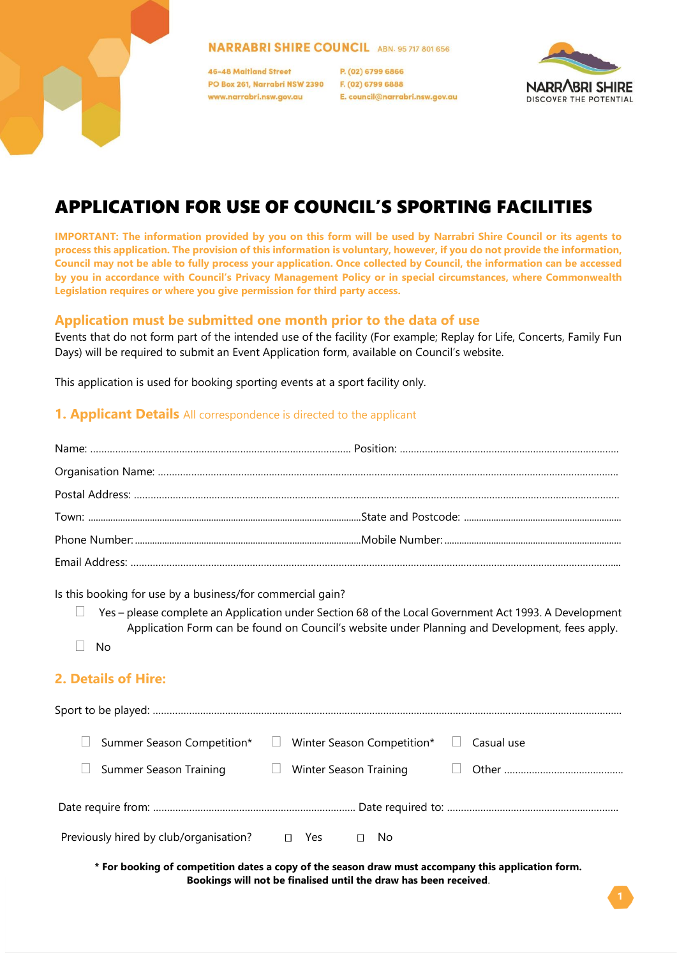#### **NARRABRI SHIRE COUNCIL ABN. 95 717 801 656**

46-48 Maitland Street PO Box 261, Narrabri NSW 2390 www.narrabri.nsw.gov.au

P. (02) 6799 6866 F. (02) 6799 6888 E. council@narrabri.nsw.gov.au



# APPLICATION FOR USE OF COUNCIL'S SPORTING FACILITIES

**IMPORTANT: The information provided by you on this form will be used by Narrabri Shire Council or its agents to process this application. The provision of this information is voluntary, however, if you do not provide the information, Council may not be able to fully process your application. Once collected by Council, the information can be accessed by you in accordance with Council's Privacy Management Policy or in special circumstances, where Commonwealth Legislation requires or where you give permission for third party access.**

#### **Application must be submitted one month prior to the data of use**

Events that do not form part of the intended use of the facility (For example; Replay for Life, Concerts, Family Fun Days) will be required to submit an Event Application form, available on Council's website.

This application is used for booking sporting events at a sport facility only.

#### **1. Applicant Details** All correspondence is directed to the applicant

Is this booking for use by a business/for commercial gain?

- $\Box$  Yes please complete an Application under Section 68 of the Local Government Act 1993. A Development Application Form can be found on Council's website under Planning and Development, fees apply.
- $\Box$  No

#### **2. Details of Hire:**

| Summer Season Competition* □           | Winter Season Competition* $\Box$ | Casual use |
|----------------------------------------|-----------------------------------|------------|
| Summer Season Training                 |                                   |            |
|                                        |                                   |            |
| Previously hired by club/organisation? | $\Box$ Yes<br>$\square$ No        |            |
|                                        |                                   |            |

**\* For booking of competition dates a copy of the season draw must accompany this application form. Bookings will not be finalised until the draw has been received**.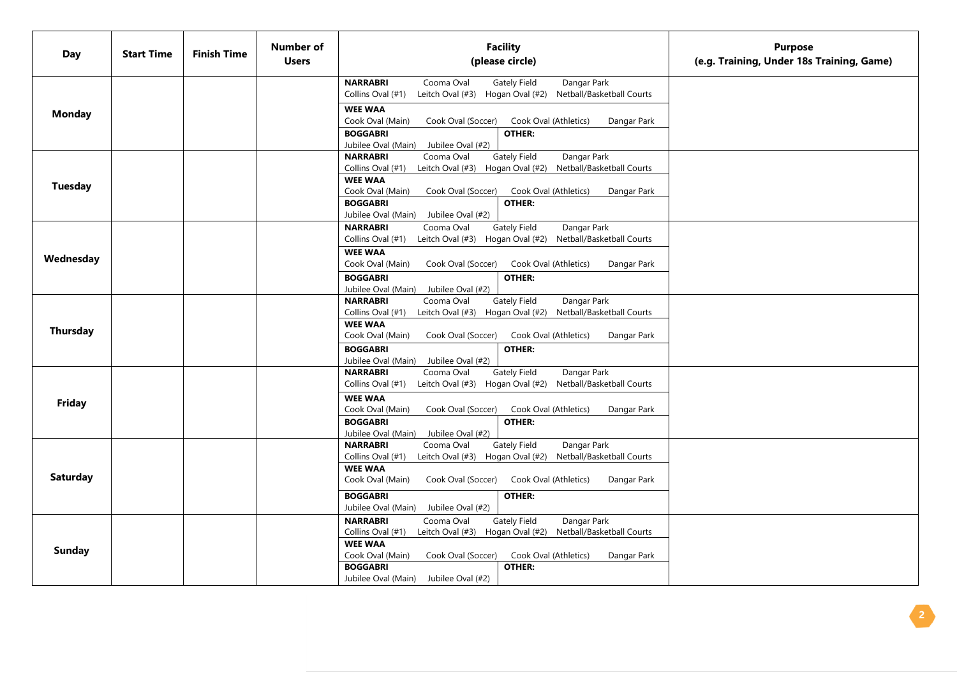| <b>Day</b>      | <b>Start Time</b> | <b>Finish Time</b> | Number of<br><b>Users</b> | <b>Facility</b><br>(please circle)                                                                                                                                                                                                                                                                                                                                           | <b>Purpose</b><br>(e.g. Training, Under 18s Training, Game) |
|-----------------|-------------------|--------------------|---------------------------|------------------------------------------------------------------------------------------------------------------------------------------------------------------------------------------------------------------------------------------------------------------------------------------------------------------------------------------------------------------------------|-------------------------------------------------------------|
| <b>Monday</b>   |                   |                    |                           | <b>NARRABRI</b><br>Cooma Oval<br><b>Gately Field</b><br>Dangar Park<br>Leitch Oval (#3) Hogan Oval (#2) Netball/Basketball Courts<br>Collins Oval (#1)<br><b>WEE WAA</b><br>Cook Oval (Main)<br>Cook Oval (Athletics)<br>Cook Oval (Soccer)<br>Dangar Park<br><b>BOGGABRI</b><br><b>OTHER:</b>                                                                               |                                                             |
| <b>Tuesday</b>  |                   |                    |                           | Jubilee Oval (Main) Jubilee Oval (#2)<br><b>NARRABRI</b><br>Cooma Oval<br><b>Gately Field</b><br>Dangar Park<br>Leitch Oval (#3) Hogan Oval (#2) Netball/Basketball Courts<br>Collins Oval (#1)<br><b>WEE WAA</b><br>Cook Oval (Main)<br>Cook Oval (Soccer)<br>Cook Oval (Athletics)<br>Dangar Park<br><b>BOGGABRI</b><br>OTHER:<br>Jubilee Oval (Main)<br>Jubilee Oval (#2) |                                                             |
| Wednesday       |                   |                    |                           | Cooma Oval<br><b>Gately Field</b><br><b>NARRABRI</b><br>Dangar Park<br>Collins Oval (#1)<br>Leitch Oval (#3) Hogan Oval (#2)<br>Netball/Basketball Courts<br><b>WEE WAA</b><br>Cook Oval (Main)<br>Cook Oval (Soccer)<br>Cook Oval (Athletics)<br>Dangar Park<br><b>BOGGABRI</b><br>OTHER:<br>Jubilee Oval (Main)<br>Jubilee Oval (#2)                                       |                                                             |
| <b>Thursday</b> |                   |                    |                           | <b>NARRABRI</b><br>Cooma Oval<br><b>Gately Field</b><br>Dangar Park<br>Collins Oval (#1)<br>Leitch Oval (#3) Hogan Oval (#2) Netball/Basketball Courts<br><b>WEE WAA</b><br>Cook Oval (Main)<br>Cook Oval (Soccer)<br>Cook Oval (Athletics)<br>Dangar Park<br><b>BOGGABRI</b><br>OTHER:<br>Jubilee Oval (Main)<br>Jubilee Oval (#2)                                          |                                                             |
| Friday          |                   |                    |                           | Cooma Oval<br><b>Gately Field</b><br><b>NARRABRI</b><br>Dangar Park<br>Leitch Oval (#3) Hogan Oval (#2) Netball/Basketball Courts<br>Collins Oval (#1)<br><b>WEE WAA</b><br>Cook Oval (Main)<br>Cook Oval (Soccer)<br>Cook Oval (Athletics)<br>Dangar Park<br><b>BOGGABRI</b><br>OTHER:<br>Jubilee Oval (Main)<br>Jubilee Oval (#2)                                          |                                                             |
| <b>Saturday</b> |                   |                    |                           | <b>Gately Field</b><br>Dangar Park<br><b>NARRABRI</b><br>Cooma Oval<br>Collins Oval (#1)<br>Leitch Oval (#3) Hogan Oval (#2) Netball/Basketball Courts<br><b>WEE WAA</b><br>Cook Oval (Main)<br>Cook Oval (Soccer)<br>Cook Oval (Athletics)<br>Dangar Park<br><b>BOGGABRI</b><br>OTHER:<br>Jubilee Oval (Main)<br>Jubilee Oval (#2)                                          |                                                             |
| <b>Sunday</b>   |                   |                    |                           | <b>Gately Field</b><br>Dangar Park<br><b>NARRABRI</b><br>Cooma Oval<br>Leitch Oval (#3) Hogan Oval (#2) Netball/Basketball Courts<br>Collins Oval (#1)<br><b>WEE WAA</b><br>Cook Oval (Main)<br>Cook Oval (Soccer)<br>Cook Oval (Athletics)<br>Dangar Park<br><b>BOGGABRI</b><br>OTHER:<br>Jubilee Oval (Main) Jubilee Oval (#2)                                             |                                                             |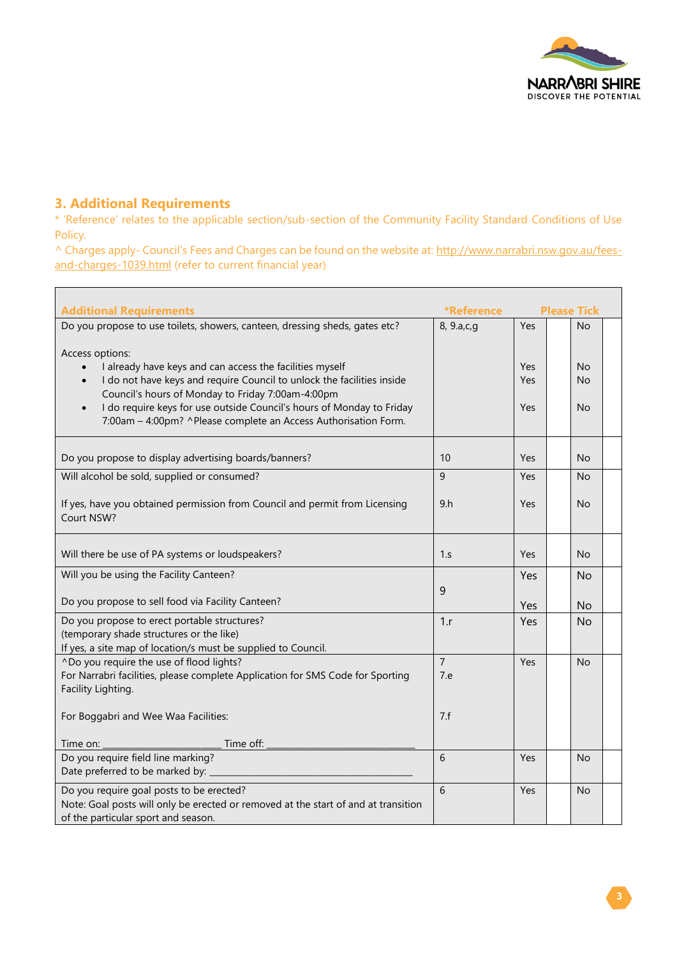

### **3. Additional Requirements**

 $\blacksquare$ 

\* 'Reference' relates to the applicable section/sub-section of the Community Facility Standard Conditions of Use Policy.

^ Charges apply- Council's Fees and Charges can be found on the website at: [http://www.narrabri.nsw.gov.au/fees](http://www.narrabri.nsw.gov.au/fees-and-charges-1039.html)[and-charges-1039.html](http://www.narrabri.nsw.gov.au/fees-and-charges-1039.html) (refer to current financial year)

| <b>Additional Requirements</b>                                                                                                                                                                             | <b>*Reference</b><br><b>Please Tick</b> |            |  |                |  |
|------------------------------------------------------------------------------------------------------------------------------------------------------------------------------------------------------------|-----------------------------------------|------------|--|----------------|--|
| Do you propose to use toilets, showers, canteen, dressing sheds, gates etc?                                                                                                                                | 8, 9.a,c,q                              | Yes        |  | No             |  |
| Access options:<br>I already have keys and can access the facilities myself                                                                                                                                |                                         | Yes        |  | <b>No</b>      |  |
| I do not have keys and require Council to unlock the facilities inside<br>$\bullet$                                                                                                                        |                                         | Yes        |  | <b>No</b>      |  |
| Council's hours of Monday to Friday 7:00am-4:00pm<br>I do require keys for use outside Council's hours of Monday to Friday<br>$\bullet$<br>7:00am - 4:00pm? ^Please complete an Access Authorisation Form. |                                         | Yes        |  | <b>No</b>      |  |
| Do you propose to display advertising boards/banners?                                                                                                                                                      | 10                                      | Yes        |  | N <sub>o</sub> |  |
| Will alcohol be sold, supplied or consumed?                                                                                                                                                                | $\overline{9}$                          | Yes        |  | <b>No</b>      |  |
| If yes, have you obtained permission from Council and permit from Licensing<br>Court NSW?                                                                                                                  | 9 <sub>h</sub>                          | Yes        |  | <b>No</b>      |  |
| Will there be use of PA systems or loudspeakers?                                                                                                                                                           | 1.s                                     | <b>Yes</b> |  | <b>No</b>      |  |
| Will you be using the Facility Canteen?                                                                                                                                                                    |                                         | Yes        |  | No.            |  |
| Do you propose to sell food via Facility Canteen?                                                                                                                                                          | 9                                       | Yes        |  | <b>No</b>      |  |
| Do you propose to erect portable structures?<br>(temporary shade structures or the like)<br>If yes, a site map of location/s must be supplied to Council.                                                  | 1.r                                     | Yes        |  | <b>No</b>      |  |
| ^Do you require the use of flood lights?<br>For Narrabri facilities, please complete Application for SMS Code for Sporting<br>Facility Lighting.                                                           | $\overline{7}$<br>7.e                   | Yes        |  | N <sub>o</sub> |  |
| For Boggabri and Wee Waa Facilities:                                                                                                                                                                       | 7.f                                     |            |  |                |  |
| Time off:<br>Time on:                                                                                                                                                                                      |                                         |            |  |                |  |
| Do you require field line marking?<br>Date preferred to be marked by:                                                                                                                                      | 6                                       | Yes        |  | <b>No</b>      |  |
| Do you require goal posts to be erected?<br>Note: Goal posts will only be erected or removed at the start of and at transition<br>of the particular sport and season.                                      | 6                                       | Yes        |  | <b>No</b>      |  |